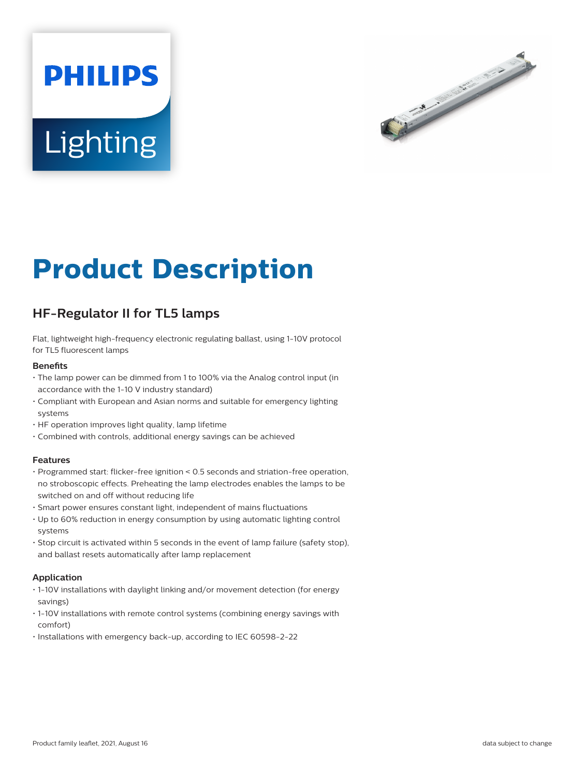# **PHILIPS Lighting**



# **Product Description**

# **HF-Regulator II for TL5 lamps**

Flat, lightweight high-frequency electronic regulating ballast, using 1-10V protocol for TL5 fluorescent lamps

## **Benefits**

- The lamp power can be dimmed from 1 to 100% via the Analog control input (in accordance with the 1-10 V industry standard)
- Compliant with European and Asian norms and suitable for emergency lighting systems
- HF operation improves light quality, lamp lifetime
- Combined with controls, additional energy savings can be achieved

#### **Features**

- Programmed start: flicker-free ignition < 0.5 seconds and striation-free operation, no stroboscopic effects. Preheating the lamp electrodes enables the lamps to be switched on and off without reducing life
- Smart power ensures constant light, independent of mains fluctuations
- Up to 60% reduction in energy consumption by using automatic lighting control systems
- Stop circuit is activated within 5 seconds in the event of lamp failure (safety stop), and ballast resets automatically after lamp replacement

# **Application**

- 1-10V installations with daylight linking and/or movement detection (for energy savings)
- 1-10V installations with remote control systems (combining energy savings with comfort)
- Installations with emergency back-up, according to IEC 60598-2-22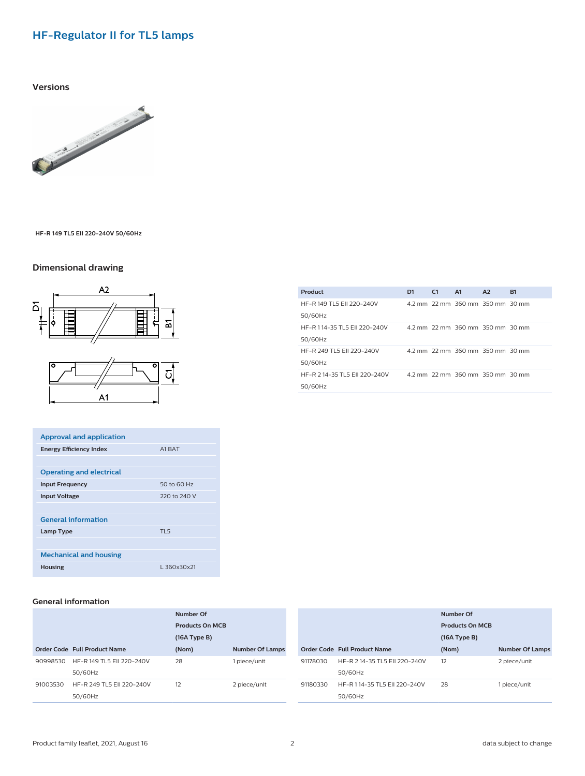# **HF-Regulator II for TL5 lamps**

### **Versions**



**HF-R 149 TL5 EII 220-240V 50/60Hz**

# **Dimensional drawing**



| <b>Approval and application</b> |              |
|---------------------------------|--------------|
| <b>Energy Efficiency Index</b>  | A1 RAT       |
|                                 |              |
| <b>Operating and electrical</b> |              |
| <b>Input Frequency</b>          | 50 to 60 Hz  |
| <b>Input Voltage</b>            | 220 to 240 V |
|                                 |              |
| <b>General information</b>      |              |
| Lamp Type                       | $TI$ 5       |
|                                 |              |
| <b>Mechanical and housing</b>   |              |
| <b>Housing</b>                  | L360x30x21   |

| HE-R 149 TL5 FL 220-240V<br>50/60Hz      | 4.2 mm 2.2 mm 360 mm 350 mm 30 mm |
|------------------------------------------|-----------------------------------|
| HF-R 114-35 TL5 FII 220-240V<br>50/60Hz  | 4.2 mm 2.2 mm 360 mm 350 mm 30 mm |
| HF-R 249 TL5 FII 220-240V<br>50/60Hz     | 4.2 mm 2.2 mm 360 mm 350 mm 30 mm |
| HF-R 2 14-35 TL5 EII 220-240V<br>50/60Hz | 4.2 mm 2.2 mm 360 mm 350 mm 30 mm |
|                                          |                                   |

**Product D1 C1 A1 A2 B1**

### **General information**

|          |                              | Number Of<br><b>Products On MCB</b> |                        |
|----------|------------------------------|-------------------------------------|------------------------|
|          |                              |                                     |                        |
|          |                              | (16A Type B)                        |                        |
|          | Order Code Full Product Name | (Nom)                               | <b>Number Of Lamps</b> |
| 90998530 | HF-R 149 TL5 EII 220-240V    | 28                                  | 1 piece/unit           |
|          | 50/60Hz                      |                                     |                        |
| 91003530 | HF-R 249 TL5 EII 220-240V    | 12                                  | 2 piece/unit           |
|          | 50/60Hz                      |                                     |                        |

|          |                                          | Number Of<br><b>Products On MCB</b><br>(16A Type B) |                        |
|----------|------------------------------------------|-----------------------------------------------------|------------------------|
|          | Order Code Full Product Name             | (Nom)                                               | <b>Number Of Lamps</b> |
| 91178030 | HF-R 2 14-35 TL5 FII 220-240V<br>50/60Hz | 12                                                  | 2 piece/unit           |
| 91180330 | HF-R 114-35 TL5 FII 220-240V<br>50/60Hz  | 28                                                  | 1 piece/unit           |